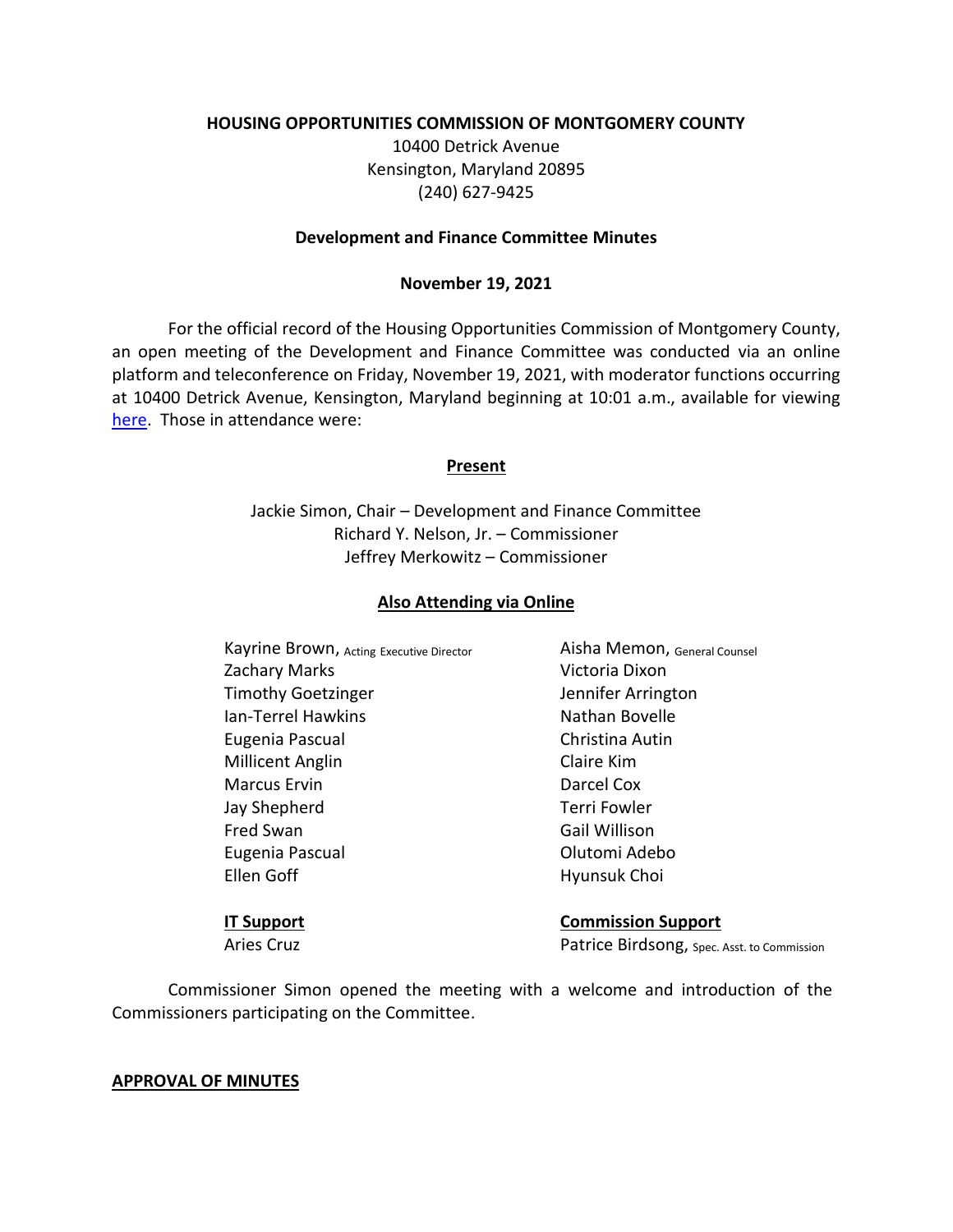### **HOUSING OPPORTUNITIES COMMISSION OF MONTGOMERY COUNTY**

10400 Detrick Avenue Kensington, Maryland 20895 (240) 627-9425

#### **Development and Finance Committee Minutes**

### **November 19, 2021**

For the official record of the Housing Opportunities Commission of Montgomery County, an open meeting of the Development and Finance Committee was conducted via an online platform and teleconference on Friday, November 19, 2021, with moderator functions occurring at 10400 Detrick Avenue, Kensington, Maryland beginning at 10:01 a.m., available for viewing [here.](https://youtu.be/l9bXslpK6zA) Those in attendance were:

### **Present**

Jackie Simon, Chair – Development and Finance Committee Richard Y. Nelson, Jr. – Commissioner Jeffrey Merkowitz – Commissioner

### **Also Attending via Online**

Kayrine Brown, Acting Executive Director **Aisha Memon**, General Counsel Zachary Marks **Victoria Dixon** Timothy Goetzinger Timothy Goetzinger Ian-Terrel Hawkins Nathan Bovelle Eugenia Pascual Christina Autin Millicent Anglin Claire Kim Marcus Ervin **Darcel Cox** Jay Shepherd Terri Fowler Fred Swan Gail Willison Eugenia Pascual Olutomi Adebo Ellen Goff **Hyunsuk Choi** 

**IT Support Commission Support** Aries Cruz **Patrice Birdsong**, Spec. Asst. to Commission

Commissioner Simon opened the meeting with a welcome and introduction of the Commissioners participating on the Committee.

#### **APPROVAL OF MINUTES**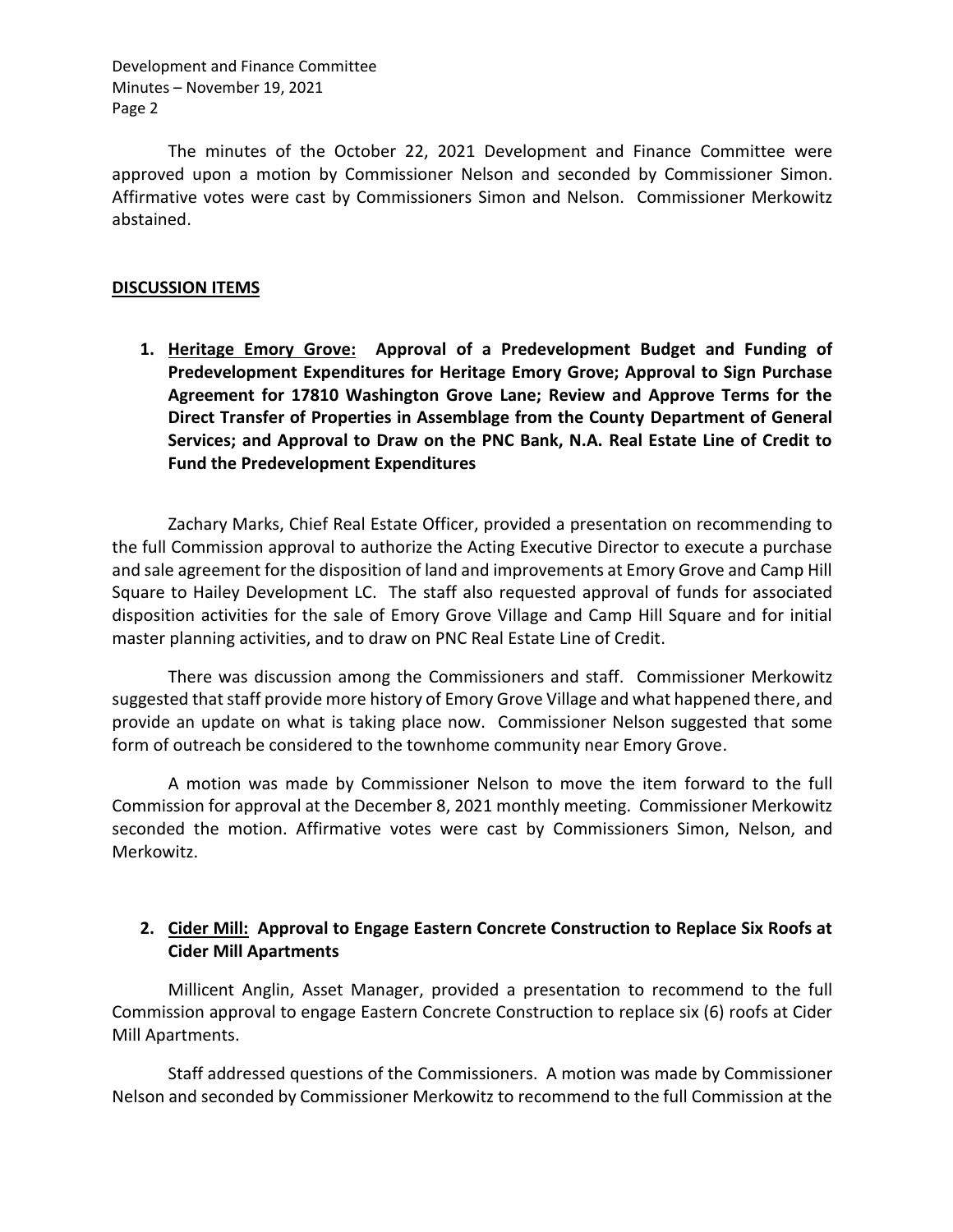Development and Finance Committee Minutes – November 19, 2021 Page 2

The minutes of the October 22, 2021 Development and Finance Committee were approved upon a motion by Commissioner Nelson and seconded by Commissioner Simon. Affirmative votes were cast by Commissioners Simon and Nelson. Commissioner Merkowitz abstained.

## **DISCUSSION ITEMS**

**1. Heritage Emory Grove: Approval of a Predevelopment Budget and Funding of Predevelopment Expenditures for Heritage Emory Grove; Approval to Sign Purchase Agreement for 17810 Washington Grove Lane; Review and Approve Terms for the Direct Transfer of Properties in Assemblage from the County Department of General Services; and Approval to Draw on the PNC Bank, N.A. Real Estate Line of Credit to Fund the Predevelopment Expenditures**

Zachary Marks, Chief Real Estate Officer, provided a presentation on recommending to the full Commission approval to authorize the Acting Executive Director to execute a purchase and sale agreement for the disposition of land and improvements at Emory Grove and Camp Hill Square to Hailey Development LC. The staff also requested approval of funds for associated disposition activities for the sale of Emory Grove Village and Camp Hill Square and for initial master planning activities, and to draw on PNC Real Estate Line of Credit.

There was discussion among the Commissioners and staff. Commissioner Merkowitz suggested that staff provide more history of Emory Grove Village and what happened there, and provide an update on what is taking place now. Commissioner Nelson suggested that some form of outreach be considered to the townhome community near Emory Grove.

A motion was made by Commissioner Nelson to move the item forward to the full Commission for approval at the December 8, 2021 monthly meeting. Commissioner Merkowitz seconded the motion. Affirmative votes were cast by Commissioners Simon, Nelson, and Merkowitz.

# **2. Cider Mill: Approval to Engage Eastern Concrete Construction to Replace Six Roofs at Cider Mill Apartments**

Millicent Anglin, Asset Manager, provided a presentation to recommend to the full Commission approval to engage Eastern Concrete Construction to replace six (6) roofs at Cider Mill Apartments.

Staff addressed questions of the Commissioners. A motion was made by Commissioner Nelson and seconded by Commissioner Merkowitz to recommend to the full Commission at the